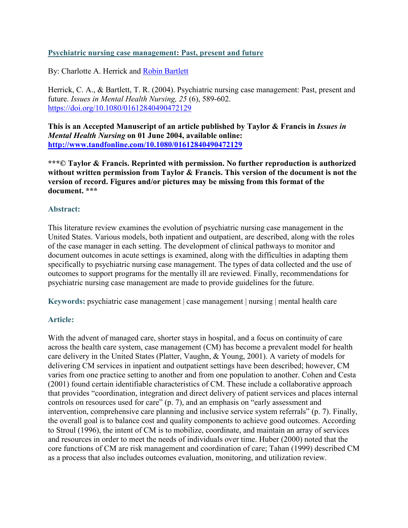## **Psychiatric nursing case management: Past, present and future**

By: Charlotte A. Herrick and [Robin Bartlett](http://libres.uncg.edu/ir/uncg/clist.aspx?id=1649)

Herrick, C. A., & Bartlett, T. R. (2004). Psychiatric nursing case management: Past, present and future. *Issues in Mental Health Nursing, 25* (6), 589-602. <https://doi.org/10.1080/01612840490472129>

**This is an Accepted Manuscript of an article published by Taylor & Francis in** *Issues in Mental Health Nursing* **on 01 June 2004, available online: <http://www.tandfonline.com/10.1080/01612840490472129>**

**\*\*\*© Taylor & Francis. Reprinted with permission. No further reproduction is authorized without written permission from Taylor & Francis. This version of the document is not the version of record. Figures and/or pictures may be missing from this format of the document. \*\*\***

#### **Abstract:**

This literature review examines the evolution of psychiatric nursing case management in the United States. Various models, both inpatient and outpatient, are described, along with the roles of the case manager in each setting. The development of clinical pathways to monitor and document outcomes in acute settings is examined, along with the difficulties in adapting them specifically to psychiatric nursing case management. The types of data collected and the use of outcomes to support programs for the mentally ill are reviewed. Finally, recommendations for psychiatric nursing case management are made to provide guidelines for the future.

**Keywords:** psychiatric case management | case management | nursing | mental health care

#### **Article:**

With the advent of managed care, shorter stays in hospital, and a focus on continuity of care across the health care system, case management (CM) has become a prevalent model for health care delivery in the United States (Platter, Vaughn, & Young, 2001). A variety of models for delivering CM services in inpatient and outpatient settings have been described; however, CM varies from one practice setting to another and from one population to another. Cohen and Cesta (2001) found certain identifiable characteristics of CM. These include a collaborative approach that provides "coordination, integration and direct delivery of patient services and places internal controls on resources used for care" (p. 7), and an emphasis on "early assessment and intervention, comprehensive care planning and inclusive service system referrals" (p. 7). Finally, the overall goal is to balance cost and quality components to achieve good outcomes. According to Stroul (1996), the intent of CM is to mobilize, coordinate, and maintain an array of services and resources in order to meet the needs of individuals over time. Huber (2000) noted that the core functions of CM are risk management and coordination of care; Tahan (1999) described CM as a process that also includes outcomes evaluation, monitoring, and utilization review.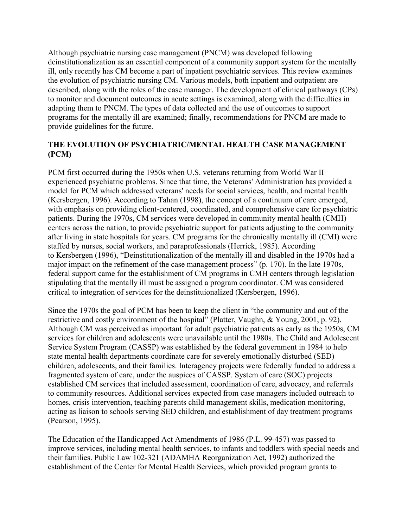Although psychiatric nursing case management (PNCM) was developed following deinstitutionalization as an essential component of a community support system for the mentally ill, only recently has CM become a part of inpatient psychiatric services. This review examines the evolution of psychiatric nursing CM. Various models, both inpatient and outpatient are described, along with the roles of the case manager. The development of clinical pathways (CPs) to monitor and document outcomes in acute settings is examined, along with the difficulties in adapting them to PNCM. The types of data collected and the use of outcomes to support programs for the mentally ill are examined; finally, recommendations for PNCM are made to provide guidelines for the future.

# **THE EVOLUTION OF PSYCHIATRIC/MENTAL HEALTH CASE MANAGEMENT (PCM)**

PCM first occurred during the 1950s when U.S. veterans returning from World War II experienced psychiatric problems. Since that time, the Veterans' Administration has provided a model for PCM which addressed veterans' needs for social services, health, and mental health (Kersbergen, 1996). According to Tahan (1998), the concept of a continuum of care emerged, with emphasis on providing client-centered, coordinated, and comprehensive care for psychiatric patients. During the 1970s, CM services were developed in community mental health (CMH) centers across the nation, to provide psychiatric support for patients adjusting to the community after living in state hospitals for years. CM programs for the chronically mentally ill (CMI) were staffed by nurses, social workers, and paraprofessionals (Herrick, 1985). According to Kersbergen (1996), "Deinstitutionalization of the mentally ill and disabled in the 1970s had a major impact on the refinement of the case management process" (p. 170). In the late 1970s, federal support came for the establishment of CM programs in CMH centers through legislation stipulating that the mentally ill must be assigned a program coordinator. CM was considered critical to integration of services for the deinstituionalized (Kersbergen, 1996).

Since the 1970s the goal of PCM has been to keep the client in "the community and out of the restrictive and costly environment of the hospital" (Platter, Vaughn, & Young, 2001, p. 92). Although CM was perceived as important for adult psychiatric patients as early as the 1950s, CM services for children and adolescents were unavailable until the 1980s. The Child and Adolescent Service System Program (CASSP) was established by the federal government in 1984 to help state mental health departments coordinate care for severely emotionally disturbed (SED) children, adolescents, and their families. Interagency projects were federally funded to address a fragmented system of care, under the auspices of CASSP. System of care (SOC) projects established CM services that included assessment, coordination of care, advocacy, and referrals to community resources. Additional services expected from case managers included outreach to homes, crisis intervention, teaching parents child management skills, medication monitoring, acting as liaison to schools serving SED children, and establishment of day treatment programs (Pearson, 1995).

The Education of the Handicapped Act Amendments of 1986 (P.L. 99-457) was passed to improve services, including mental health services, to infants and toddlers with special needs and their families. Public Law 102-321 (ADAMHA Reorganization Act, 1992) authorized the establishment of the Center for Mental Health Services, which provided program grants to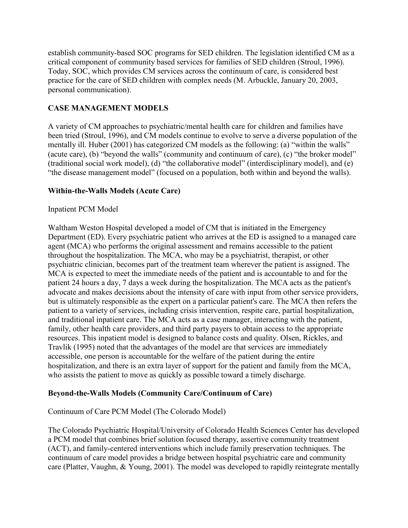establish community-based SOC programs for SED children. The legislation identified CM as a critical component of community based services for families of SED children (Stroul, 1996). Today, SOC, which provides CM services across the continuum of care, is considered best practice for the care of SED children with complex needs (M. Arbuckle, January 20, 2003, personal communication).

## **CASE MANAGEMENT MODELS**

A variety of CM approaches to psychiatric/mental health care for children and families have been tried (Stroul, 1996), and CM models continue to evolve to serve a diverse population of the mentally ill. Huber (2001) has categorized CM models as the following: (a) "within the walls" (acute care), (b) "beyond the walls" (community and continuum of care), (c) "the broker model" (traditional social work model), (d) "the collaborative model" (interdisciplinary model), and (e) "the disease management model" (focused on a population, both within and beyond the walls).

#### **Within-the-Walls Models (Acute Care)**

#### Inpatient PCM Model

Waltham Weston Hospital developed a model of CM that is initiated in the Emergency Department (ED). Every psychiatric patient who arrives at the ED is assigned to a managed care agent (MCA) who performs the original assessment and remains accessible to the patient throughout the hospitalization. The MCA, who may be a psychiatrist, therapist, or other psychiatric clinician, becomes part of the treatment team wherever the patient is assigned. The MCA is expected to meet the immediate needs of the patient and is accountable to and for the patient 24 hours a day, 7 days a week during the hospitalization. The MCA acts as the patient's advocate and makes decisions about the intensity of care with input from other service providers, but is ultimately responsible as the expert on a particular patient's care. The MCA then refers the patient to a variety of services, including crisis intervention, respite care, partial hospitalization, and traditional inpatient care. The MCA acts as a case manager, interacting with the patient, family, other health care providers, and third party payers to obtain access to the appropriate resources. This inpatient model is designed to balance costs and quality. Olsen, Rickles, and Travlik (1995) noted that the advantages of the model are that services are immediately accessible, one person is accountable for the welfare of the patient during the entire hospitalization, and there is an extra layer of support for the patient and family from the MCA, who assists the patient to move as quickly as possible toward a timely discharge.

# **Beyond-the-Walls Models (Community Care/Continuum of Care)**

#### Continuum of Care PCM Model (The Colorado Model)

The Colorado Psychiatric Hospital/University of Colorado Health Sciences Center has developed a PCM model that combines brief solution focused therapy, assertive community treatment (ACT), and family-centered interventions which include family preservation techniques. The continuum of care model provides a bridge between hospital psychiatric care and community care (Platter, Vaughn, & Young, 2001). The model was developed to rapidly reintegrate mentally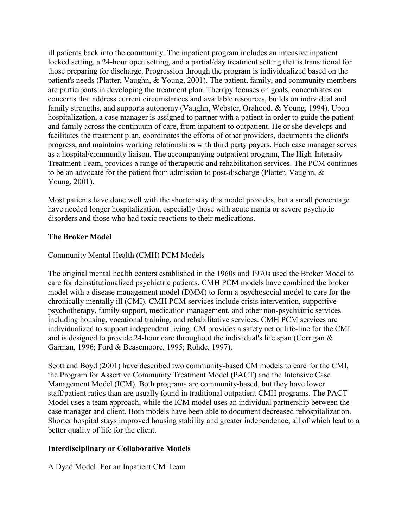ill patients back into the community. The inpatient program includes an intensive inpatient locked setting, a 24-hour open setting, and a partial/day treatment setting that is transitional for those preparing for discharge. Progression through the program is individualized based on the patient's needs (Platter, Vaughn, & Young, 2001). The patient, family, and community members are participants in developing the treatment plan. Therapy focuses on goals, concentrates on concerns that address current circumstances and available resources, builds on individual and family strengths, and supports autonomy (Vaughn, Webster, Orahood, & Young, 1994). Upon hospitalization, a case manager is assigned to partner with a patient in order to guide the patient and family across the continuum of care, from inpatient to outpatient. He or she develops and facilitates the treatment plan, coordinates the efforts of other providers, documents the client's progress, and maintains working relationships with third party payers. Each case manager serves as a hospital/community liaison. The accompanying outpatient program, The High-Intensity Treatment Team, provides a range of therapeutic and rehabilitation services. The PCM continues to be an advocate for the patient from admission to post-discharge (Platter, Vaughn, & Young, 2001).

Most patients have done well with the shorter stay this model provides, but a small percentage have needed longer hospitalization, especially those with acute mania or severe psychotic disorders and those who had toxic reactions to their medications.

## **The Broker Model**

## Community Mental Health (CMH) PCM Models

The original mental health centers established in the 1960s and 1970s used the Broker Model to care for deinstitutionalized psychiatric patients. CMH PCM models have combined the broker model with a disease management model (DMM) to form a psychosocial model to care for the chronically mentally ill (CMI). CMH PCM services include crisis intervention, supportive psychotherapy, family support, medication management, and other non-psychiatric services including housing, vocational training, and rehabilitative services. CMH PCM services are individualized to support independent living. CM provides a safety net or life-line for the CMI and is designed to provide 24-hour care throughout the individual's life span (Corrigan & Garman, 1996; Ford & Beasemoore, 1995; Rohde, 1997).

Scott and Boyd (2001) have described two community-based CM models to care for the CMI, the Program for Assertive Community Treatment Model (PACT) and the Intensive Case Management Model (ICM). Both programs are community-based, but they have lower staff/patient ratios than are usually found in traditional outpatient CMH programs. The PACT Model uses a team approach, while the ICM model uses an individual partnership between the case manager and client. Both models have been able to document decreased rehospitalization. Shorter hospital stays improved housing stability and greater independence, all of which lead to a better quality of life for the client.

#### **Interdisciplinary or Collaborative Models**

A Dyad Model: For an Inpatient CM Team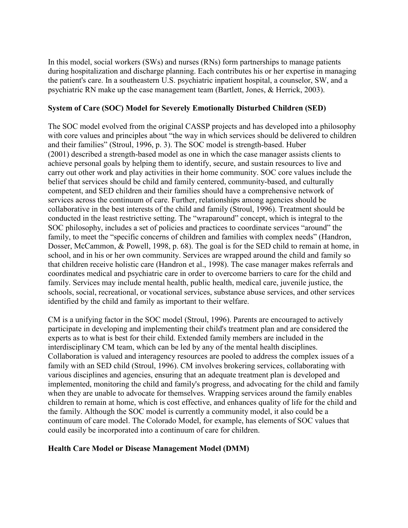In this model, social workers (SWs) and nurses (RNs) form partnerships to manage patients during hospitalization and discharge planning. Each contributes his or her expertise in managing the patient's care. In a southeastern U.S. psychiatric inpatient hospital, a counselor, SW, and a psychiatric RN make up the case management team (Bartlett, Jones, & Herrick, 2003).

## **System of Care (SOC) Model for Severely Emotionally Disturbed Children (SED)**

The SOC model evolved from the original CASSP projects and has developed into a philosophy with core values and principles about "the way in which services should be delivered to children and their families" (Stroul, 1996, p. 3). The SOC model is strength-based. Huber (2001) described a strength-based model as one in which the case manager assists clients to achieve personal goals by helping them to identify, secure, and sustain resources to live and carry out other work and play activities in their home community. SOC core values include the belief that services should be child and family centered, community-based, and culturally competent, and SED children and their families should have a comprehensive network of services across the continuum of care. Further, relationships among agencies should be collaborative in the best interests of the child and family (Stroul, 1996). Treatment should be conducted in the least restrictive setting. The "wraparound" concept, which is integral to the SOC philosophy, includes a set of policies and practices to coordinate services "around" the family, to meet the "specific concerns of children and families with complex needs" (Handron, Dosser, McCammon, & Powell, 1998, p. 68). The goal is for the SED child to remain at home, in school, and in his or her own community. Services are wrapped around the child and family so that children receive holistic care (Handron et al., 1998). The case manager makes referrals and coordinates medical and psychiatric care in order to overcome barriers to care for the child and family. Services may include mental health, public health, medical care, juvenile justice, the schools, social, recreational, or vocational services, substance abuse services, and other services identified by the child and family as important to their welfare.

CM is a unifying factor in the SOC model (Stroul, 1996). Parents are encouraged to actively participate in developing and implementing their child's treatment plan and are considered the experts as to what is best for their child. Extended family members are included in the interdisciplinary CM team, which can be led by any of the mental health disciplines. Collaboration is valued and interagency resources are pooled to address the complex issues of a family with an SED child (Stroul, 1996). CM involves brokering services, collaborating with various disciplines and agencies, ensuring that an adequate treatment plan is developed and implemented, monitoring the child and family's progress, and advocating for the child and family when they are unable to advocate for themselves. Wrapping services around the family enables children to remain at home, which is cost effective, and enhances quality of life for the child and the family. Although the SOC model is currently a community model, it also could be a continuum of care model. The Colorado Model, for example, has elements of SOC values that could easily be incorporated into a continuum of care for children.

# **Health Care Model or Disease Management Model (DMM)**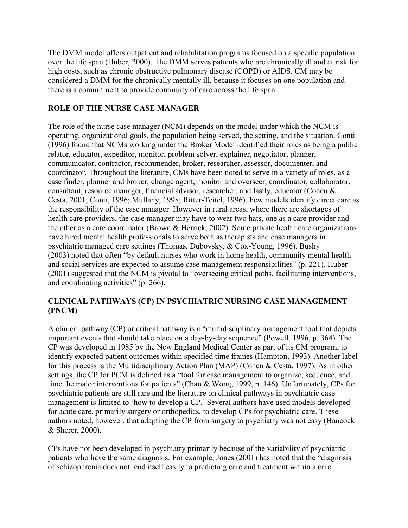The DMM model offers outpatient and rehabilitation programs focused on a specific population over the life span (Huber, 2000). The DMM serves patients who are chronically ill and at risk for high costs, such as chronic obstructive pulmonary disease (COPD) or AIDS. CM may be considered a DMM for the chronically mentally ill, because it focuses on one population and there is a commitment to provide continuity of care across the life span.

# **ROLE OF THE NURSE CASE MANAGER**

The role of the nurse case manager (NCM) depends on the model under which the NCM is operating, organizational goals, the population being served, the setting, and the situation. Conti (1996) found that NCMs working under the Broker Model identified their roles as being a public relator, educator, expeditor, monitor, problem solver, explainer, negotiator, planner, communicator, contractor, recommender, broker, researcher, assessor, documenter, and coordinator. Throughout the literature, CMs have been noted to serve in a variety of roles, as a case finder, planner and broker, change agent, monitor and overseer, coordinator, collaborator, consultant, resource manager, financial advisor, researcher, and lastly, educator (Cohen & Cesta, 2001; Conti, 1996; Mullahy, 1998; Ritter-Teitel, 1996). Few models identify direct care as the responsibility of the case manager. However in rural areas, where there are shortages of health care providers, the case manager may have to wear two hats, one as a care provider and the other as a care coordinator (Brown & Herrick, 2002). Some private health care organizations have hired mental health professionals to serve both as therapists and case managers in psychiatric managed care settings (Thomas, Dubovsky, & Cox-Young, 1996). Bushy (2003) noted that often "by default nurses who work in home health, community mental health and social services are expected to assume case management responsibilities" (p. 221). Huber (2001) suggested that the NCM is pivotal to "overseeing critical paths, facilitating interventions, and coordinating activities" (p. 266).

# **CLINICAL PATHWAYS (CP) IN PSYCHIATRIC NURSING CASE MANAGEMENT (PNCM)**

A clinical pathway (CP) or critical pathway is a "multidisciplinary management tool that depicts important events that should take place on a day-by-day sequence" (Powell, 1996, p. 364). The CP was developed in 1985 by the New England Medical Center as part of its CM program, to identify expected patient outcomes within specified time frames (Hampton, 1993). Another label for this process is the Multidisciplinary Action Plan (MAP) (Cohen & Cesta, 1997). As in other settings, the CP for PCM is defined as a "tool for case management to organize, sequence, and time the major interventions for patients" (Chan & Wong, 1999, p. 146). Unfortunately, CPs for psychiatric patients are still rare and the literature on clinical pathways in psychiatric case management is limited to 'how to develop a CP.' Several authors have used models developed for acute care, primarily surgery or orthopedics, to develop CPs for psychiatric care. These authors noted, however, that adapting the CP from surgery to psychiatry was not easy (Hancock & Sherer, 2000).

CPs have not been developed in psychiatry primarily because of the variability of psychiatric patients who have the same diagnosis. For example, Jones (2001) has noted that the "diagnosis of schizophrenia does not lend itself easily to predicting care and treatment within a care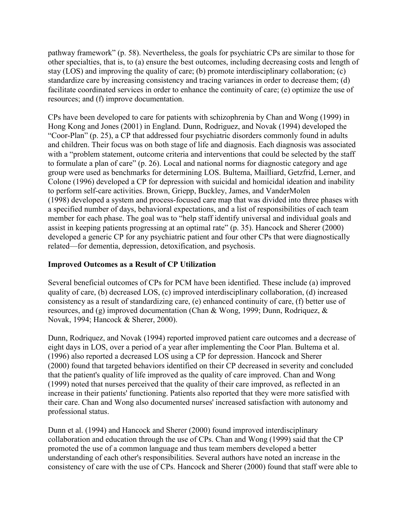pathway framework" (p. 58). Nevertheless, the goals for psychiatric CPs are similar to those for other specialties, that is, to (a) ensure the best outcomes, including decreasing costs and length of stay (LOS) and improving the quality of care; (b) promote interdisciplinary collaboration; (c) standardize care by increasing consistency and tracing variances in order to decrease them; (d) facilitate coordinated services in order to enhance the continuity of care; (e) optimize the use of resources; and (f) improve documentation.

CPs have been developed to care for patients with schizophrenia by Chan and Wong (1999) in Hong Kong and Jones (2001) in England. Dunn, Rodriguez, and Novak (1994) developed the "Coor-Plan" (p. 25), a CP that addressed four psychiatric disorders commonly found in adults and children. Their focus was on both stage of life and diagnosis. Each diagnosis was associated with a "problem statement, outcome criteria and interventions that could be selected by the staff to formulate a plan of care" (p. 26). Local and national norms for diagnostic category and age group were used as benchmarks for determining LOS. Bultema, Mailliard, Getzfrid, Lerner, and Colone (1996) developed a CP for depression with suicidal and homicidal ideation and inability to perform self-care activities. Brown, Griepp, Buckley, James, and VanderMolen (1998) developed a system and process-focused care map that was divided into three phases with a specified number of days, behavioral expectations, and a list of responsibilities of each team member for each phase. The goal was to "help staff identify universal and individual goals and assist in keeping patients progressing at an optimal rate" (p. 35). Hancock and Sherer (2000) developed a generic CP for any psychiatric patient and four other CPs that were diagnostically related—for dementia, depression, detoxification, and psychosis.

### **Improved Outcomes as a Result of CP Utilization**

Several beneficial outcomes of CPs for PCM have been identified. These include (a) improved quality of care, (b) decreased LOS, (c) improved interdisciplinary collaboration, (d) increased consistency as a result of standardizing care, (e) enhanced continuity of care, (f) better use of resources, and (g) improved documentation (Chan & Wong, 1999; Dunn, Rodriquez, & Novak, 1994; Hancock & Sherer, 2000).

Dunn, Rodriquez, and Novak (1994) reported improved patient care outcomes and a decrease of eight days in LOS, over a period of a year after implementing the Coor Plan. Bultema et al. (1996) also reported a decreased LOS using a CP for depression. Hancock and Sherer (2000) found that targeted behaviors identified on their CP decreased in severity and concluded that the patient's quality of life improved as the quality of care improved. Chan and Wong (1999) noted that nurses perceived that the quality of their care improved, as reflected in an increase in their patients' functioning. Patients also reported that they were more satisfied with their care. Chan and Wong also documented nurses' increased satisfaction with autonomy and professional status.

Dunn et al. (1994) and Hancock and Sherer (2000) found improved interdisciplinary collaboration and education through the use of CPs. Chan and Wong (1999) said that the CP promoted the use of a common language and thus team members developed a better understanding of each other's responsibilities. Several authors have noted an increase in the consistency of care with the use of CPs. Hancock and Sherer (2000) found that staff were able to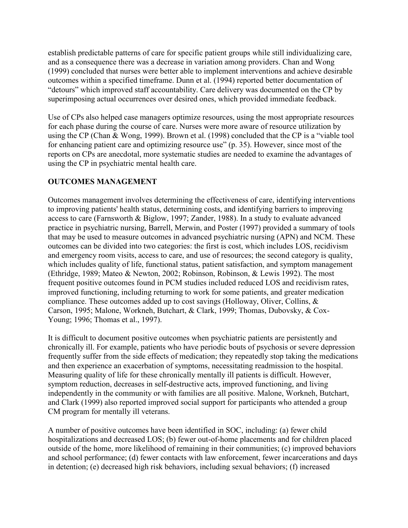establish predictable patterns of care for specific patient groups while still individualizing care, and as a consequence there was a decrease in variation among providers. Chan and Wong (1999) concluded that nurses were better able to implement interventions and achieve desirable outcomes within a specified timeframe. Dunn et al. (1994) reported better documentation of "detours" which improved staff accountability. Care delivery was documented on the CP by superimposing actual occurrences over desired ones, which provided immediate feedback.

Use of CPs also helped case managers optimize resources, using the most appropriate resources for each phase during the course of care. Nurses were more aware of resource utilization by using the CP (Chan & Wong, 1999). Brown et al. (1998) concluded that the CP is a "viable tool for enhancing patient care and optimizing resource use" (p. 35). However, since most of the reports on CPs are anecdotal, more systematic studies are needed to examine the advantages of using the CP in psychiatric mental health care.

# **OUTCOMES MANAGEMENT**

Outcomes management involves determining the effectiveness of care, identifying interventions to improving patients' health status, determining costs, and identifying barriers to improving access to care (Farnsworth & Biglow, 1997; Zander, 1988). In a study to evaluate advanced practice in psychiatric nursing, Barrell, Merwin, and Poster (1997) provided a summary of tools that may be used to measure outcomes in advanced psychiatric nursing (APN) and NCM. These outcomes can be divided into two categories: the first is cost, which includes LOS, recidivism and emergency room visits, access to care, and use of resources; the second category is quality, which includes quality of life, functional status, patient satisfaction, and symptom management (Ethridge, 1989; Mateo & Newton, 2002; Robinson, Robinson, & Lewis 1992). The most frequent positive outcomes found in PCM studies included reduced LOS and recidivism rates, improved functioning, including returning to work for some patients, and greater medication compliance. These outcomes added up to cost savings (Holloway, Oliver, Collins, & Carson, 1995; Malone, Workneh, Butchart, & Clark, 1999; Thomas, Dubovsky, & Cox-Young; 1996; Thomas et al., 1997).

It is difficult to document positive outcomes when psychiatric patients are persistently and chronically ill. For example, patients who have periodic bouts of psychosis or severe depression frequently suffer from the side effects of medication; they repeatedly stop taking the medications and then experience an exacerbation of symptoms, necessitating readmission to the hospital. Measuring quality of life for these chronically mentally ill patients is difficult. However, symptom reduction, decreases in self-destructive acts, improved functioning, and living independently in the community or with families are all positive. Malone, Workneh, Butchart, and Clark (1999) also reported improved social support for participants who attended a group CM program for mentally ill veterans.

A number of positive outcomes have been identified in SOC, including: (a) fewer child hospitalizations and decreased LOS; (b) fewer out-of-home placements and for children placed outside of the home, more likelihood of remaining in their communities; (c) improved behaviors and school performance; (d) fewer contacts with law enforcement, fewer incarcerations and days in detention; (e) decreased high risk behaviors, including sexual behaviors; (f) increased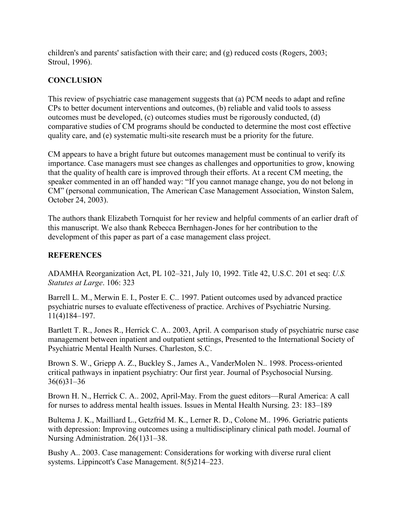children's and parents' satisfaction with their care; and (g) reduced costs (Rogers, 2003; Stroul, 1996).

# **CONCLUSION**

This review of psychiatric case management suggests that (a) PCM needs to adapt and refine CPs to better document interventions and outcomes, (b) reliable and valid tools to assess outcomes must be developed, (c) outcomes studies must be rigorously conducted, (d) comparative studies of CM programs should be conducted to determine the most cost effective quality care, and (e) systematic multi-site research must be a priority for the future.

CM appears to have a bright future but outcomes management must be continual to verify its importance. Case managers must see changes as challenges and opportunities to grow, knowing that the quality of health care is improved through their efforts. At a recent CM meeting, the speaker commented in an off handed way: "If you cannot manage change, you do not belong in CM" (personal communication, The American Case Management Association, Winston Salem, October 24, 2003).

The authors thank Elizabeth Tornquist for her review and helpful comments of an earlier draft of this manuscript. We also thank Rebecca Bernhagen-Jones for her contribution to the development of this paper as part of a case management class project.

# **REFERENCES**

ADAMHA Reorganization Act, PL 102–321, July 10, 1992. Title 42, U.S.C. 201 et seq: *U.S. Statutes at Large*. 106: 323

Barrell L. M., Merwin E. I., Poster E. C.. 1997. Patient outcomes used by advanced practice psychiatric nurses to evaluate effectiveness of practice. Archives of Psychiatric Nursing. 11(4)184–197.

Bartlett T. R., Jones R., Herrick C. A.. 2003, April. A comparison study of psychiatric nurse case management between inpatient and outpatient settings, Presented to the International Society of Psychiatric Mental Health Nurses. Charleston, S.C.

Brown S. W., Griepp A. Z., Buckley S., James A., VanderMolen N.. 1998. Process-oriented critical pathways in inpatient psychiatry: Our first year. Journal of Psychosocial Nursing. 36(6)31–36

Brown H. N., Herrick C. A.. 2002, April-May. From the guest editors—Rural America: A call for nurses to address mental health issues. Issues in Mental Health Nursing. 23: 183–189

Bultema J. K., Mailliard L., Getzfrid M. K., Lerner R. D., Colone M.. 1996. Geriatric patients with depression: Improving outcomes using a multidisciplinary clinical path model. Journal of Nursing Administration. 26(1)31–38.

Bushy A.. 2003. Case management: Considerations for working with diverse rural client systems. Lippincott's Case Management. 8(5)214–223.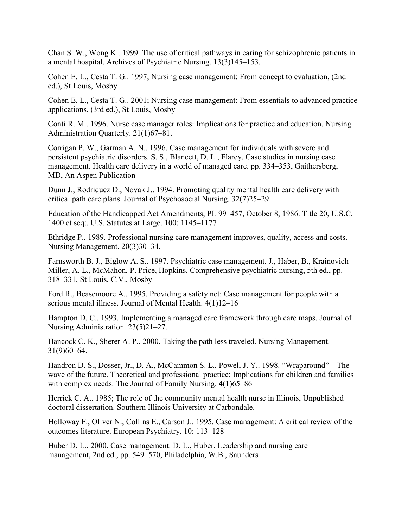Chan S. W., Wong K.. 1999. The use of critical pathways in caring for schizophrenic patients in a mental hospital. Archives of Psychiatric Nursing. 13(3)145–153.

Cohen E. L., Cesta T. G.. 1997; Nursing case management: From concept to evaluation, (2nd ed.), St Louis, Mosby

Cohen E. L., Cesta T. G.. 2001; Nursing case management: From essentials to advanced practice applications, (3rd ed.), St Louis, Mosby

Conti R. M.. 1996. Nurse case manager roles: Implications for practice and education. Nursing Administration Quarterly. 21(1)67–81.

Corrigan P. W., Garman A. N.. 1996. Case management for individuals with severe and persistent psychiatric disorders. S. S., Blancett, D. L., Flarey. Case studies in nursing case management. Health care delivery in a world of managed care. pp. 334–353, Gaithersberg, MD, An Aspen Publication

Dunn J., Rodriquez D., Novak J.. 1994. Promoting quality mental health care delivery with critical path care plans. Journal of Psychosocial Nursing. 32(7)25–29

Education of the Handicapped Act Amendments, PL 99–457, October 8, 1986. Title 20, U.S.C. 1400 et seq:. U.S. Statutes at Large. 100: 1145–1177

Ethridge P.. 1989. Professional nursing care management improves, quality, access and costs. Nursing Management. 20(3)30–34.

Farnsworth B. J., Biglow A. S.. 1997. Psychiatric case management. J., Haber, B., Krainovich-Miller, A. L., McMahon, P. Price, Hopkins. Comprehensive psychiatric nursing, 5th ed., pp. 318–331, St Louis, C.V., Mosby

Ford R., Beasemoore A.. 1995. Providing a safety net: Case management for people with a serious mental illness. Journal of Mental Health. 4(1)12–16

Hampton D. C.. 1993. Implementing a managed care framework through care maps. Journal of Nursing Administration. 23(5)21–27.

Hancock C. K., Sherer A. P.. 2000. Taking the path less traveled. Nursing Management. 31(9)60–64.

Handron D. S., Dosser, Jr., D. A., McCammon S. L., Powell J. Y.. 1998. "Wraparound"—The wave of the future. Theoretical and professional practice: Implications for children and families with complex needs. The Journal of Family Nursing. 4(1)65–86

Herrick C. A.. 1985; The role of the community mental health nurse in Illinois, Unpublished doctoral dissertation. Southern Illinois University at Carbondale.

Holloway F., Oliver N., Collins E., Carson J.. 1995. Case management: A critical review of the outcomes literature. European Psychiatry. 10: 113–128

Huber D. L.. 2000. Case management. D. L., Huber. Leadership and nursing care management, 2nd ed., pp. 549–570, Philadelphia, W.B., Saunders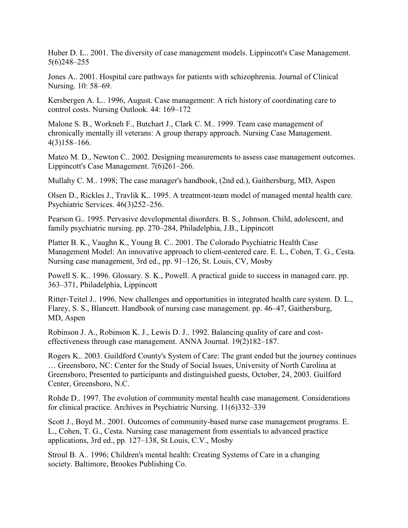Huber D. L.. 2001. The diversity of case management models. Lippincott's Case Management. 5(6)248–255

Jones A.. 2001. Hospital care pathways for patients with schizophrenia. Journal of Clinical Nursing. 10: 58–69.

Kersbergen A. L.. 1996, August. Case management: A rich history of coordinating care to control costs. Nursing Outlook. 44: 169–172

Malone S. B., Workneh F., Butchart J., Clark C. M.. 1999. Team case management of chronically mentally ill veterans: A group therapy approach. Nursing Case Management. 4(3)158–166.

Mateo M. D., Newton C.. 2002. Designing measurements to assess case management outcomes. Lippincott's Case Management. 7(6)261–266.

Mullahy C. M.. 1998; The case manager's handbook, (2nd ed.), Gaithersburg, MD, Aspen

Olsen D., Rickles J., Travlik K.. 1995. A treatment-team model of managed mental health care. Psychiatric Services. 46(3)252–256.

Pearson G.. 1995. Pervasive developmental disorders. B. S., Johnson. Child, adolescent, and family psychiatric nursing. pp. 270–284, Philadelphia, J.B., Lippincott

Platter B. K., Vaughn K., Young B. C.. 2001. The Colorado Psychiatric Health Case Management Model: An innovative approach to client-centered care. E. L., Cohen, T. G., Cesta. Nursing case management, 3rd ed., pp. 91–126, St. Louis, CV, Mosby

Powell S. K.. 1996. Glossary. S. K., Powell. A practical guide to success in managed care. pp. 363–371, Philadelphia, Lippincott

Ritter-Teitel J.. 1996. New challenges and opportunities in integrated health care system. D. L., Flarey, S. S., Blancett. Handbook of nursing case management. pp. 46–47, Gaithersburg, MD, Aspen

Robinson J. A., Robinson K. J., Lewis D. J.. 1992. Balancing quality of care and costeffectiveness through case management. ANNA Journal. 19(2)182–187.

Rogers K.. 2003. Guildford County's System of Care: The grant ended but the journey continues … Greensboro, NC: Center for the Study of Social Issues, University of North Carolina at Greensboro, Presented to participants and distinguished guests, October, 24, 2003. Guilford Center, Greensboro, N.C.

Rohde D.. 1997. The evolution of community mental health case management. Considerations for clinical practice. Archives in Psychiatric Nursing. 11(6)332–339

Scott J., Boyd M.. 2001. Outcomes of community-based nurse case management programs. E. L., Cohen, T. G., Cesta. Nursing case management from essentials to advanced practice applications, 3rd ed., pp. 127–138, St Louis, C.V., Mosby

Stroul B. A.. 1996; Children's mental health: Creating Systems of Care in a changing society. Baltimore, Brookes Publishing Co.